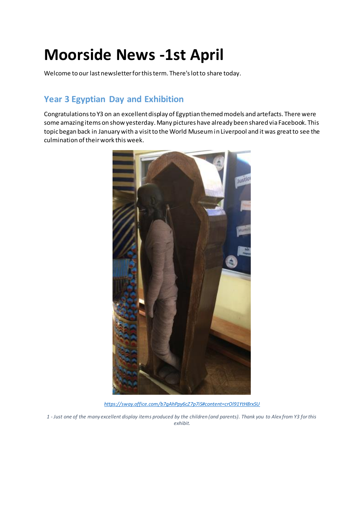# **Moorside News -1st April**

Welcome to our last newsletter for this term. There's lot to share today.

# **Year 3 Egyptian Day and Exhibition**

Congratulations to Y3 on an excellent display of Egyptian themed models and artefacts. There were some amazing items on show yesterday. Many pictures have already been shared via Facebook. This topic began back in January with a visit to the World Museum in Liverpool and it was great to see the culmination of their work this week.



*<https://sway.office.com/b7gAhPpy6cZ7p7iS#content=crOl91YtH8rxSU>*

*1 - Just one of the many excellent display items produced by the children (and parents). Thank you to Alex from Y3 for this exhibit.*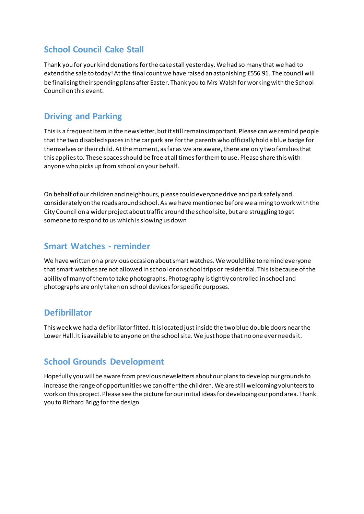#### **School Council Cake Stall**

Thank you for your kind donations for the cake stall yesterday. We had so many that we had to extend the sale to today! At the final count we have raised an astonishing £556.91. The council will be finalising their spending plans after Easter. Thank you to Mrs Walsh for working with the School Council on this event.

#### **Driving and Parking**

This is a frequent item in the newsletter, but it still remains important. Please can we remind people that the two disabled spaces in the car park are for the parents who officially hold a blue badge for themselves or their child. At the moment, as far as we are aware, there are only two families that this applies to. These spaces should be free at all times for them to use. Please share this with anyone who picks up from school on your behalf.

On behalf of our children and neighbours, please could everyone drive and park safely and considerately on the roads around school. As we have mentioned before we aiming to work with the City Council on a wider project about traffic around the school site, but are struggling to get someone to respond to us which is slowing us down.

#### **Smart Watches - reminder**

We have written on a previous occasion about smart watches. We would like to remind everyone that smart watches are not allowed in school or on school trips or residential. This is because of the ability of many of them to take photographs. Photography is tightly controlled in school and photographs are only taken on school devices for specific purposes.

#### **Defibrillator**

This week we had a defibrillator fitted. It is located just inside the two blue double doors near the Lower Hall. It is available to anyone on the school site. We just hope that no one ever needs it.

#### **School Grounds Development**

Hopefully you will be aware from previous newsletters about our plans to develop our grounds to increase the range of opportunities we can offer the children. We are still welcoming volunteers to work on this project. Please see the picture for our initial ideas for developing our pond area. Thank you to Richard Brigg for the design.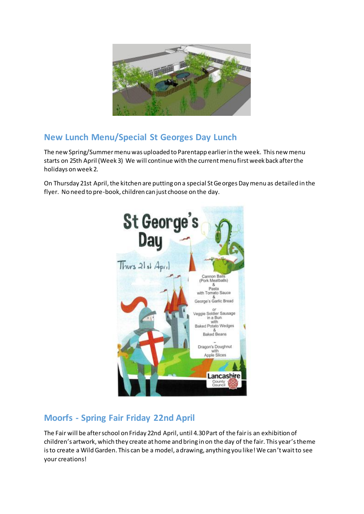

# **New Lunch Menu/Special St Georges Day Lunch**

The new Spring/Summer menu was uploaded to Parentapp earlier in the week. This new menu starts on 25th April (Week 3) We will continue with the current menu first week back after the holidays on week 2.

On Thursday 21st April, the kitchen are putting on a special St Georges Day menu as detailed in the flyer. No need to pre-book, children can just choose on the day.



# **Moorfs - Spring Fair Friday 22nd April**

The Fair will be after school on Friday 22nd April, until 4.30 Part of the fair is an exhibition of children's artwork, which they create at home and bring in on the day of the fair. This year's theme is to create a Wild Garden. This can be a model, a drawing, anything you like! We can't wait to see your creations!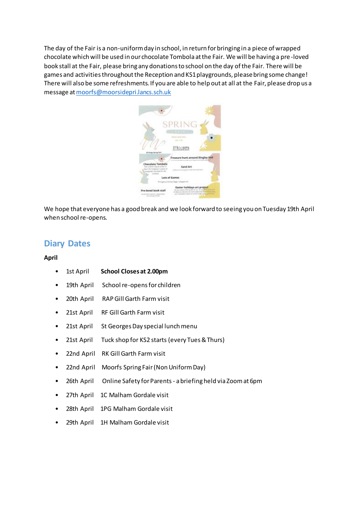The day of the Fair is a non-uniform day in school, in return for bringing in a piece of wrapped chocolate which will be used in our chocolate Tombola at the Fair. We will be having a pre -loved book stall at the Fair, please bring any donations to school on the day of the Fair. There will be games and activities throughout the Reception and KS1 playgrounds, please bring some change! There will also be some refreshments. If you are able to help out at all at the Fair, please drop us a message a[t moorfs@moorsidepri.lancs.sch.uk](mailto:moorfs@moorsidepri.lancs.sch.uk)



We hope that everyone has a good break and we look forward to seeing you on Tuesday 19th April when school re-opens.

#### **Diary Dates**

#### **April**

- 1st April **School Closes at 2.00pm**
- 19th April School re-opens for children
- 20th April RAP Gill Garth Farm visit
- 21st April RF Gill Garth Farm visit
- 21st April St Georges Day special lunch menu
- 21st April Tuck shop for KS2 starts (every Tues & Thurs)
- 22nd April RK Gill Garth Farm visit
- 22nd April Moorfs Spring Fair (Non Uniform Day)
- 26th April Online Safety for Parents a briefing held via Zoom at 6pm
- 27th April 1C Malham Gordale visit
- 28th April 1PG Malham Gordale visit
- 29th April 1H Malham Gordale visit